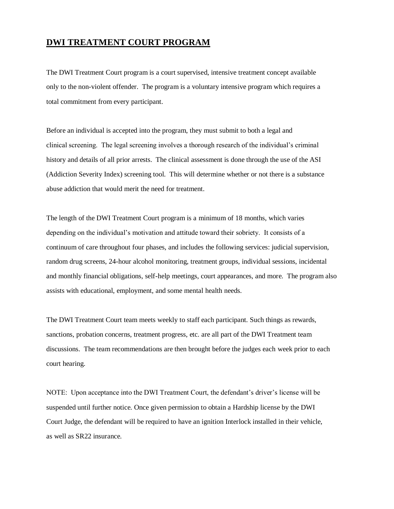# **DWI TREATMENT COURT PROGRAM**

The DWI Treatment Court program is a court supervised, intensive treatment concept available only to the non-violent offender. The program is a voluntary intensive program which requires a total commitment from every participant.

Before an individual is accepted into the program, they must submit to both a legal and clinical screening. The legal screening involves a thorough research of the individual's criminal history and details of all prior arrests. The clinical assessment is done through the use of the ASI (Addiction Severity Index) screening tool. This will determine whether or not there is a substance abuse addiction that would merit the need for treatment.

The length of the DWI Treatment Court program is a minimum of 18 months, which varies depending on the individual's motivation and attitude toward their sobriety. It consists of a continuum of care throughout four phases, and includes the following services: judicial supervision, random drug screens, 24-hour alcohol monitoring, treatment groups, individual sessions, incidental and monthly financial obligations, self-help meetings, court appearances, and more. The program also assists with educational, employment, and some mental health needs.

The DWI Treatment Court team meets weekly to staff each participant. Such things as rewards, sanctions, probation concerns, treatment progress, etc. are all part of the DWI Treatment team discussions. The team recommendations are then brought before the judges each week prior to each court hearing.

NOTE: Upon acceptance into the DWI Treatment Court, the defendant's driver's license will be suspended until further notice. Once given permission to obtain a Hardship license by the DWI Court Judge, the defendant will be required to have an ignition Interlock installed in their vehicle, as well as SR22 insurance.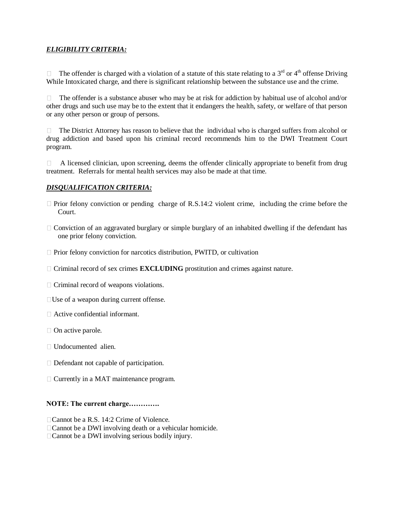# *ELIGIBILITY CRITERIA:*

The offender is charged with a violation of a statute of this state relating to a  $3<sup>rd</sup>$  or  $4<sup>th</sup>$  offense Driving While Intoxicated charge, and there is significant relationship between the substance use and the crime.

 $\Box$  The offender is a substance abuser who may be at risk for addiction by habitual use of alcohol and/or other drugs and such use may be to the extent that it endangers the health, safety, or welfare of that person or any other person or group of persons.

 $\Box$  The District Attorney has reason to believe that the individual who is charged suffers from alcohol or drug addiction and based upon his criminal record recommends him to the DWI Treatment Court program.

 $\Box$  A licensed clinician, upon screening, deems the offender clinically appropriate to benefit from drug treatment. Referrals for mental health services may also be made at that time.

## *DISQUALIFICATION CRITERIA:*

- $\Box$  Prior felony conviction or pending charge of R.S.14:2 violent crime, including the crime before the Court.
- $\Box$  Conviction of an aggravated burglary or simple burglary of an inhabited dwelling if the defendant has one prior felony conviction.
- $\Box$  Prior felony conviction for narcotics distribution, PWITD, or cultivation
- Criminal record of sex crimes **EXCLUDING** prostitution and crimes against nature.
- $\Box$  Criminal record of weapons violations.
- □ Use of a weapon during current offense.
- Active confidential informant.
- $\Box$  On active parole.
- Undocumented alien.
- Defendant not capable of participation.
- Currently in a MAT maintenance program.

### **NOTE: The current charge………….**

- □ Cannot be a R.S. 14:2 Crime of Violence.
- □ Cannot be a DWI involving death or a vehicular homicide.
- □ Cannot be a DWI involving serious bodily injury.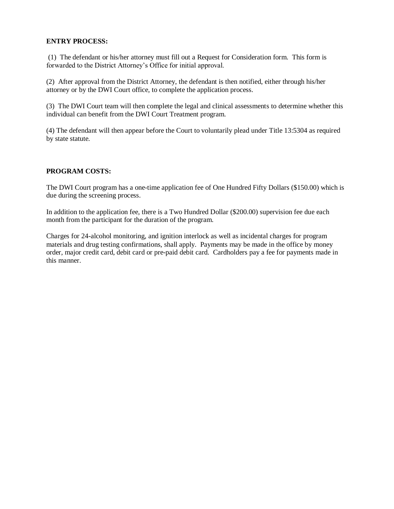### **ENTRY PROCESS:**

(1) The defendant or his/her attorney must fill out a Request for Consideration form. This form is forwarded to the District Attorney's Office for initial approval.

(2) After approval from the District Attorney, the defendant is then notified, either through his/her attorney or by the DWI Court office, to complete the application process.

(3) The DWI Court team will then complete the legal and clinical assessments to determine whether this individual can benefit from the DWI Court Treatment program.

(4) The defendant will then appear before the Court to voluntarily plead under Title 13:5304 as required by state statute.

### **PROGRAM COSTS:**

The DWI Court program has a one-time application fee of One Hundred Fifty Dollars (\$150.00) which is due during the screening process.

In addition to the application fee, there is a Two Hundred Dollar (\$200.00) supervision fee due each month from the participant for the duration of the program.

Charges for 24-alcohol monitoring, and ignition interlock as well as incidental charges for program materials and drug testing confirmations, shall apply. Payments may be made in the office by money order, major credit card, debit card or pre-paid debit card. Cardholders pay a fee for payments made in this manner.